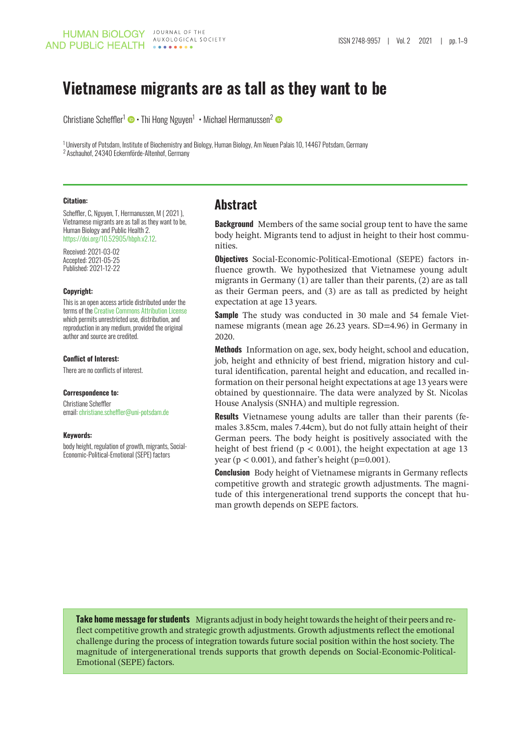# **Vietnamese migrants are as tall as they want to be**

Christiane Scheffler<sup>1</sup> • Thi Hong Nguyen<sup>1</sup> • Michael Hermanussen<sup>2</sup>

<sup>1</sup> University of Potsdam, Institute of Biochemistry and Biology, Human Biology, Am Neuen Palais 10, 14467 Potsdam, Germany 2 Aschauhof, 24340 Eckernförde-Altenhof, Germany

#### **Citation:**

Scheffler, C, Nguyen, T, Hermanussen, M ( 2021 ), Vietnamese migrants are as tall as they want to be, Human Biology and Public Health 2. [https://doi.org/10.52905/hbph.v2.12.](https://doi.org/10.52905/hbph.v2.12)

Received: 2021-03-02 Accepted: 2021-05-25 Published: 2021-12-22

#### **Copyright:**

This is an open access article distributed under the terms of the [Creative Commons Attribution License](https://creativecommons.org/licenses/by/4.0) which permits unrestricted use, distribution, and reproduction in any medium, provided the original author and source are credited.

#### **Conflict of Interest:**

There are no conflicts of interest.

#### **Correspondence to:**

Christiane Scheffler email: [christiane.scheffler@uni-potsdam.de](mailto:christiane.scheffler@unipotsdam.de)

#### **Keywords:**

body height, regulation of growth, migrants, Social-Economic-Political-Emotional (SEPE) factors

#### **Abstract**

**Background** Members of the same social group tent to have the same body height. Migrants tend to adjust in height to their host communities.

**Objectives** Social-Economic-Political-Emotional (SEPE) factors influence growth. We hypothesized that Vietnamese young adult migrants in Germany (1) are taller than their parents, (2) are as tall as their German peers, and (3) are as tall as predicted by height expectation at age 13 years.

**Sample** The study was conducted in 30 male and 54 female Vietnamese migrants (mean age 26.23 years. SD=4.96) in Germany in 2020.

**Methods** Information on age, sex, body height, school and education, job, height and ethnicity of best friend, migration history and cultural identification, parental height and education, and recalled information on their personal height expectations at age 13 years were obtained by questionnaire. The data were analyzed by St. Nicolas House Analysis (SNHA) and multiple regression.

**Results** Vietnamese young adults are taller than their parents (females 3.85cm, males 7.44cm), but do not fully attain height of their German peers. The body height is positively associated with the height of best friend ( $p < 0.001$ ), the height expectation at age 13 year ( $p < 0.001$ ), and father's height ( $p = 0.001$ ).

**Conclusion** Body height of Vietnamese migrants in Germany reflects competitive growth and strategic growth adjustments. The magnitude of this intergenerational trend supports the concept that human growth depends on SEPE factors.

**Take home message for students** Migrants adjust in body height towards the height of their peers and reflect competitive growth and strategic growth adjustments. Growth adjustments reflect the emotional challenge during the process of integration towards future social position within the host society. The magnitude of intergenerational trends supports that growth depends on Social-Economic-Political-Emotional (SEPE) factors.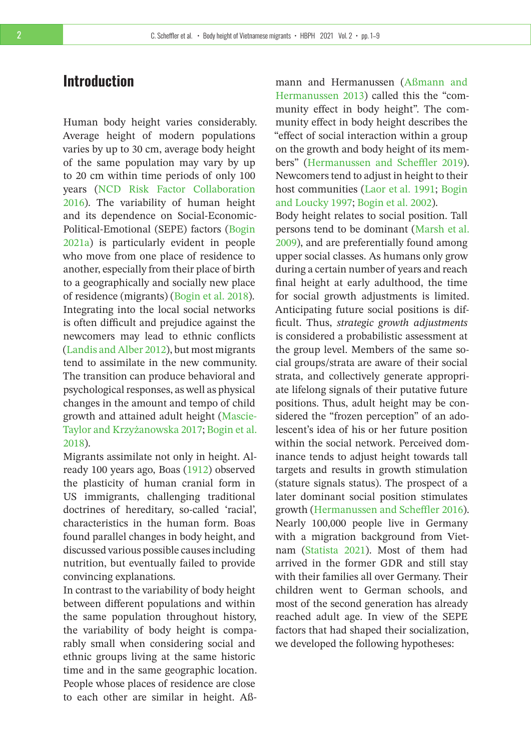### **Introduction**

Human body height varies considerably. Average height of modern populations varies by up to 30 cm, average body height of the same population may vary by up to 20 cm within time periods of only 100 years [\(NCD Risk Factor Collaboration](#page-8-0) [2016\)](#page-8-0). The variability of human height and its dependence on Social-Economic-Political-Emotional (SEPE) factors [\(Bogin](#page-7-0) [2021a\)](#page-7-0) is particularly evident in people who move from one place of residence to another, especially from their place of birth to a geographically and socially new place of residence (migrants) [\(Bogin et al. 2018\)](#page-7-1). Integrating into the local social networks is often difficult and prejudice against the newcomers may lead to ethnic conflicts [\(Landis and Alber 2012\)](#page-8-1), but most migrants tend to assimilate in the new community. The transition can produce behavioral and psychological responses, as well as physical changes in the amount and tempo of child growth and attained adult height [\(Mascie-](#page-8-2)[Taylor and Krzyżanowska 2017;](#page-8-2) [Bogin et al.](#page-7-1) [2018\)](#page-7-1).

Migrants assimilate not only in height. Already 100 years ago, Boas [\(1912\)](#page-7-2) observed the plasticity of human cranial form in US immigrants, challenging traditional doctrines of hereditary, so-called 'racial', characteristics in the human form. Boas found parallel changes in body height, and discussed various possible causes including nutrition, but eventually failed to provide convincing explanations.

In contrast to the variability of body height between different populations and within the same population throughout history, the variability of body height is comparably small when considering social and ethnic groups living at the same historic time and in the same geographic location. People whose places of residence are close to each other are similar in height. Aßmann and Hermanussen [\(Aßmann and](#page-7-3) [Hermanussen 2013\)](#page-7-3) called this the "community effect in body height". The community effect in body height describes the "effect of social interaction within a group on the growth and body height of its members" [\(Hermanussen and Scheffler 2019\)](#page-8-3). Newcomers tend to adjust in height to their host communities [\(Laor et al. 1991;](#page-8-4) [Bogin](#page-7-4) [and Loucky 1997;](#page-7-4) [Bogin et al. 2002\)](#page-7-5).

Body height relates to social position. Tall persons tend to be dominant [\(Marsh et al.](#page-8-5) [2009\)](#page-8-5), and are preferentially found among upper social classes. As humans only grow during a certain number of years and reach final height at early adulthood, the time for social growth adjustments is limited. Anticipating future social positions is difficult. Thus, *strategic growth adjustments* is considered a probabilistic assessment at the group level. Members of the same social groups/strata are aware of their social strata, and collectively generate appropriate lifelong signals of their putative future positions. Thus, adult height may be considered the "frozen perception" of an adolescent's idea of his or her future position within the social network. Perceived dominance tends to adjust height towards tall targets and results in growth stimulation (stature signals status). The prospect of a later dominant social position stimulates growth [\(Hermanussen and Scheffler 2016\)](#page-8-6). Nearly 100,000 people live in Germany with a migration background from Vietnam [\(Statista 2021\)](#page-8-7). Most of them had arrived in the former GDR and still stay with their families all over Germany. Their children went to German schools, and most of the second generation has already reached adult age. In view of the SEPE factors that had shaped their socialization, we developed the following hypotheses: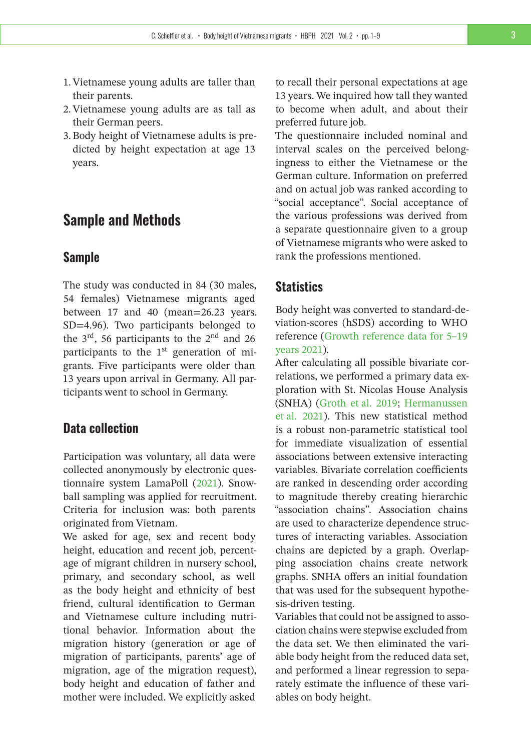- 1.Vietnamese young adults are taller than their parents.
- 2.Vietnamese young adults are as tall as their German peers.
- 3. Body height of Vietnamese adults is predicted by height expectation at age 13 years.

### **Sample and Methods**

#### **Sample**

The study was conducted in 84 (30 males, 54 females) Vietnamese migrants aged between 17 and 40 (mean=26.23 years. SD=4.96). Two participants belonged to the  $3<sup>rd</sup>$ , 56 participants to the  $2<sup>nd</sup>$  and 26 participants to the  $1<sup>st</sup>$  generation of migrants. Five participants were older than 13 years upon arrival in Germany. All participants went to school in Germany.

### **Data collection**

Participation was voluntary, all data were collected anonymously by electronic questionnaire system LamaPoll [\(2021\)](#page-8-8). Snowball sampling was applied for recruitment. Criteria for inclusion was: both parents originated from Vietnam.

We asked for age, sex and recent body height, education and recent job, percentage of migrant children in nursery school, primary, and secondary school, as well as the body height and ethnicity of best friend, cultural identification to German and Vietnamese culture including nutritional behavior. Information about the migration history (generation or age of migration of participants, parents' age of migration, age of the migration request), body height and education of father and mother were included. We explicitly asked

to recall their personal expectations at age 13 years. We inquired how tall they wanted to become when adult, and about their preferred future job.

The questionnaire included nominal and interval scales on the perceived belongingness to either the Vietnamese or the German culture. Information on preferred and on actual job was ranked according to "social acceptance". Social acceptance of the various professions was derived from a separate questionnaire given to a group of Vietnamese migrants who were asked to rank the professions mentioned.

### **Statistics**

Body height was converted to standard-deviation-scores (hSDS) according to WHO reference [\(Growth reference data for 5–19](#page-7-6) [years 2021\)](#page-7-6).

After calculating all possible bivariate correlations, we performed a primary data exploration with St. Nicolas House Analysis (SNHA) [\(Groth et al. 2019;](#page-7-7) [Hermanussen](#page-7-8) [et al. 2021\)](#page-7-8). This new statistical method is a robust non-parametric statistical tool for immediate visualization of essential associations between extensive interacting variables. Bivariate correlation coefficients are ranked in descending order according to magnitude thereby creating hierarchic "association chains". Association chains are used to characterize dependence structures of interacting variables. Association chains are depicted by a graph. Overlapping association chains create network graphs. SNHA offers an initial foundation that was used for the subsequent hypothesis-driven testing.

Variables that could not be assigned to association chains were stepwise excluded from the data set. We then eliminated the variable body height from the reduced data set, and performed a linear regression to separately estimate the influence of these variables on body height.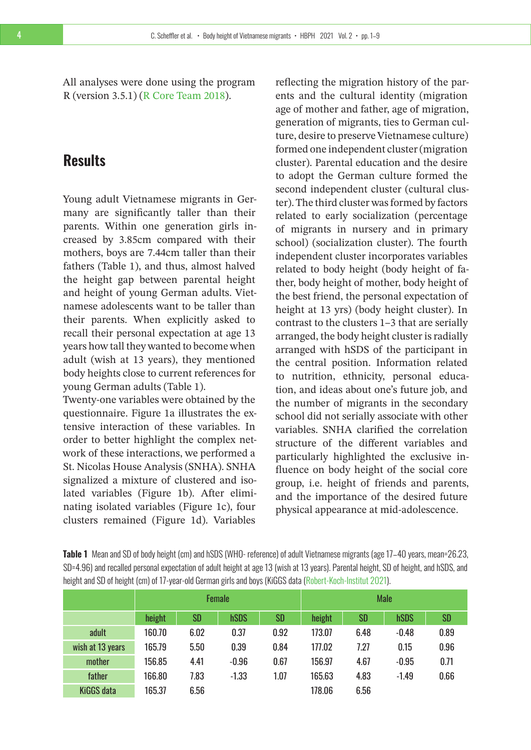All analyses were done using the program R (version 3.5.1) [\(R Core Team 2018\)](#page-8-9).

## **Results**

Young adult Vietnamese migrants in Germany are significantly taller than their parents. Within one generation girls increased by 3.85cm compared with their mothers, boys are 7.44cm taller than their fathers (Table 1), and thus, almost halved the height gap between parental height and height of young German adults. Vietnamese adolescents want to be taller than their parents. When explicitly asked to recall their personal expectation at age 13 years how tall they wanted to become when adult (wish at 13 years), they mentioned body heights close to current references for young German adults (Table 1).

Twenty-one variables were obtained by the questionnaire. Figure 1a illustrates the extensive interaction of these variables. In order to better highlight the complex network of these interactions, we performed a St. Nicolas House Analysis (SNHA). SNHA signalized a mixture of clustered and isolated variables (Figure 1b). After eliminating isolated variables (Figure 1c), four clusters remained (Figure 1d). Variables

reflecting the migration history of the parents and the cultural identity (migration age of mother and father, age of migration, generation of migrants, ties to German culture, desire to preserve Vietnamese culture) formed one independent cluster (migration cluster). Parental education and the desire to adopt the German culture formed the second independent cluster (cultural cluster). The third cluster was formed by factors related to early socialization (percentage of migrants in nursery and in primary school) (socialization cluster). The fourth independent cluster incorporates variables related to body height (body height of father, body height of mother, body height of the best friend, the personal expectation of height at 13 yrs) (body height cluster). In contrast to the clusters 1–3 that are serially arranged, the body height cluster is radially arranged with hSDS of the participant in the central position. Information related to nutrition, ethnicity, personal education, and ideas about one's future job, and the number of migrants in the secondary school did not serially associate with other variables. SNHA clarified the correlation structure of the different variables and particularly highlighted the exclusive influence on body height of the social core group, i.e. height of friends and parents, and the importance of the desired future physical appearance at mid-adolescence.

**Table 1** Mean and SD of body height (cm) and hSDS (WHO- reference) of adult Vietnamese migrants (age 17–40 years, mean=26.23, SD=4.96) and recalled personal expectation of adult height at age 13 (wish at 13 years). Parental height, SD of height, and hSDS, and height and SD of height (cm) of 17-year-old German girls and boys (KiGGS data [\(Robert-Koch-Institut 2021\)](#page-8-10).

|                   | <b>Female</b> |      |             |           | <b>Male</b> |      |             |      |
|-------------------|---------------|------|-------------|-----------|-------------|------|-------------|------|
|                   | height        | SD   | <b>hSDS</b> | <b>SD</b> | height      | SD   | <b>hSDS</b> | SD   |
| adult             | 160.70        | 6.02 | 0.37        | 0.92      | 173.07      | 6.48 | $-0.48$     | 0.89 |
| wish at 13 years  | 165.79        | 5.50 | 0.39        | 0.84      | 177.02      | 7.27 | 0.15        | 0.96 |
| mother            | 156.85        | 4.41 | $-0.96$     | 0.67      | 156.97      | 4.67 | $-0.95$     | 0.71 |
| father            | 166.80        | 7.83 | $-1.33$     | 1.07      | 165.63      | 4.83 | $-1.49$     | 0.66 |
| <b>KiGGS data</b> | 165.37        | 6.56 |             |           | 178.06      | 6.56 |             |      |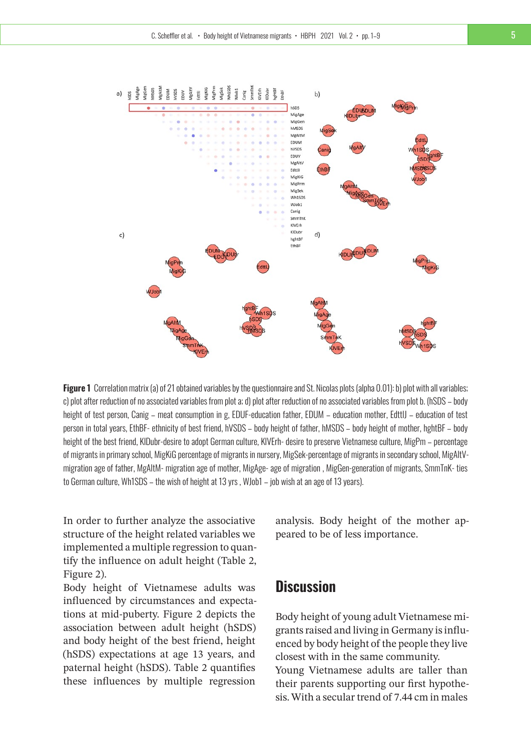

**Figure 1** Correlation matrix (a) of 21 obtained variables by the questionnaire and St. Nicolas plots (alpha 0.01): b) plot with all variables; c) plot after reduction of no associated variables from plot a; d) plot after reduction of no associated variables from plot b. (hSDS – body height of test person, Canig – meat consumption in g. EDUF-education father, EDUM – education mother, EdttlJ – education of test person in total years, EthBF- ethnicity of best friend, hVSDS – body height of father, hMSDS – body height of mother, hghtBF – body height of the best friend, KlDubr-desire to adopt German culture, KlVErh- desire to preserve Vietnamese culture, MigPm – percentage of migrants in primary school, MigKiG percentage of migrants in nursery, MigSek-percentage of migrants in secondary school, MigAltVmigration age of father, MgAltM- migration age of mother, MigAge- age of migration , MigGen-generation of migrants, SmmTnK- ties to German culture, Wh1SDS – the wish of height at 13 yrs , WJob1 – job wish at an age of 13 years).

In order to further analyze the associative structure of the height related variables we implemented a multiple regression to quantify the influence on adult height (Table 2, Figure 2).

Body height of Vietnamese adults was influenced by circumstances and expectations at mid-puberty. Figure 2 depicts the association between adult height (hSDS) and body height of the best friend, height (hSDS) expectations at age 13 years, and paternal height (hSDS). Table 2 quantifies these influences by multiple regression

analysis. Body height of the mother appeared to be of less importance.

# **Discussion**

Body height of young adult Vietnamese migrants raised and living in Germany is influenced by body height of the people they live closest with in the same community. Young Vietnamese adults are taller than their parents supporting our first hypothesis.With a secular trend of 7.44 cm in males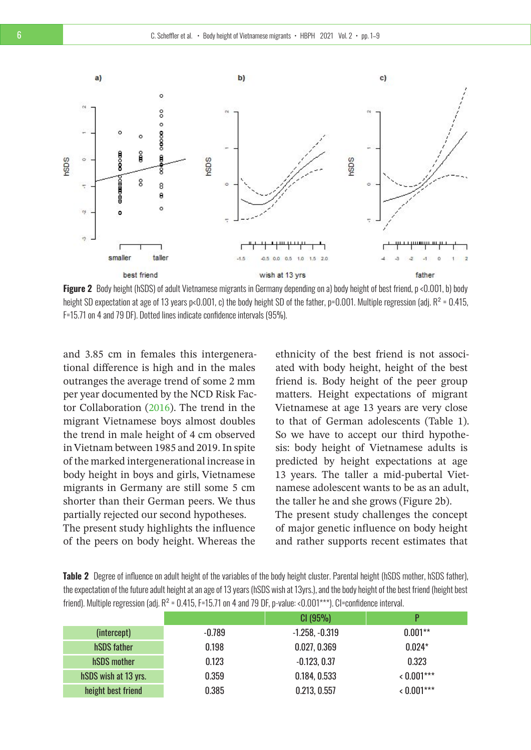

**Figure 2** Body height (hSDS) of adult Vietnamese migrants in Germany depending on a) body height of best friend, p <0.001, b) body height SD expectation at age of 13 years p<0.001, c) the body height SD of the father, p=0.001. Multiple regression (adj.  $R^2$  = 0.415, F=15.71 on 4 and 79 DF). Dotted lines indicate confidence intervals (95%).

and 3.85 cm in females this intergenerational difference is high and in the males outranges the average trend of some 2 mm per year documented by the NCD Risk Factor Collaboration [\(2016\)](#page-8-0). The trend in the migrant Vietnamese boys almost doubles the trend in male height of 4 cm observed in Vietnam between 1985 and 2019. In spite of the marked intergenerational increase in body height in boys and girls, Vietnamese migrants in Germany are still some 5 cm shorter than their German peers. We thus partially rejected our second hypotheses. The present study highlights the influence of the peers on body height. Whereas the

ethnicity of the best friend is not associated with body height, height of the best friend is. Body height of the peer group matters. Height expectations of migrant Vietnamese at age 13 years are very close to that of German adolescents (Table 1). So we have to accept our third hypothesis: body height of Vietnamese adults is predicted by height expectations at age 13 years. The taller a mid-pubertal Vietnamese adolescent wants to be as an adult, the taller he and she grows (Figure 2b). The present study challenges the concept

of major genetic influence on body height and rather supports recent estimates that

| <b>Table 2</b> Degree of influence on adult height of the variables of the body height cluster. Parental height (hSDS mother, hSDS father), |  |
|---------------------------------------------------------------------------------------------------------------------------------------------|--|
| the expectation of the future adult height at an age of 13 years (hSDS wish at 13yrs.), and the body height of the best friend (height best |  |
| friend). Multiple regression (adj. $R^2$ = 0.415, F=15.71 on 4 and 79 DF, p-value: <0.001***). Cl=confidence interval.                      |  |

|                      |          | CI(95%)          | D          |
|----------------------|----------|------------------|------------|
| (intercept)          | $-0.789$ | $-1.258, -0.319$ | $0.001**$  |
| hSDS father          | 0.198    | 0.027, 0.369     | $0.024*$   |
| hSDS mother          | 0.123    | $-0.123, 0.37$   | 0.323      |
| hSDS wish at 13 yrs. | 0.359    | 0.184, 0.533     | $0.001***$ |
| height best friend   | 0.385    | 0.213, 0.557     | $0.001***$ |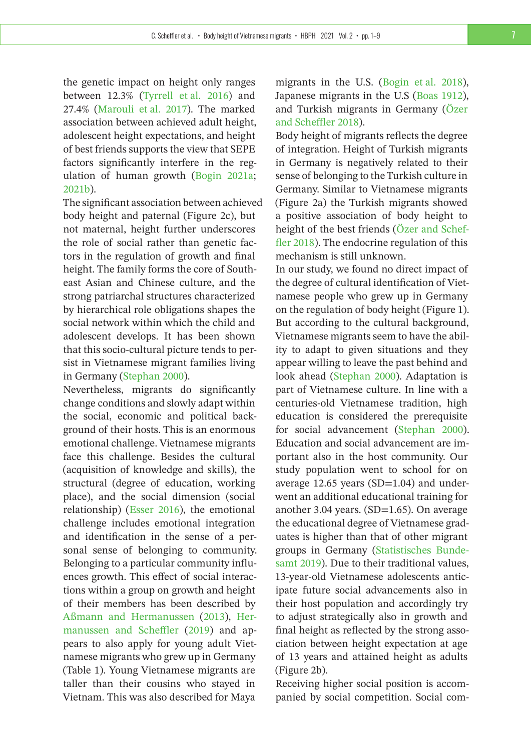the genetic impact on height only ranges between 12.3% [\(Tyrrell et al. 2016\)](#page-8-11) and 27.4% [\(Marouli et al. 2017\)](#page-8-12). The marked association between achieved adult height, adolescent height expectations, and height of best friends supports the view that SEPE factors significantly interfere in the regulation of human growth [\(Bogin 2021a;](#page-7-0) [2021b\)](#page-7-9).

The significant association between achieved body height and paternal (Figure 2c), but not maternal, height further underscores the role of social rather than genetic factors in the regulation of growth and final height. The family forms the core of Southeast Asian and Chinese culture, and the strong patriarchal structures characterized by hierarchical role obligations shapes the social network within which the child and adolescent develops. It has been shown that this socio-cultural picture tends to persist in Vietnamese migrant families living in Germany [\(Stephan 2000\)](#page-8-13).

Nevertheless, migrants do significantly change conditions and slowly adapt within the social, economic and political background of their hosts. This is an enormous emotional challenge. Vietnamese migrants face this challenge. Besides the cultural (acquisition of knowledge and skills), the structural (degree of education, working place), and the social dimension (social relationship) [\(Esser 2016\)](#page-7-10), the emotional challenge includes emotional integration and identification in the sense of a personal sense of belonging to community. Belonging to a particular community influences growth. This effect of social interactions within a group on growth and height of their members has been described by [Aßmann and Hermanussen](#page-7-3) [\(2013\)](#page-7-3), [Her](#page-8-3)[manussen and Scheffler](#page-8-3) [\(2019\)](#page-8-3) and appears to also apply for young adult Vietnamese migrants who grew up in Germany (Table 1). Young Vietnamese migrants are taller than their cousins who stayed in Vietnam. This was also described for Maya

migrants in the U.S. [\(Bogin et al. 2018\)](#page-7-1), Japanese migrants in the U.S [\(Boas 1912\)](#page-7-2), and Turkish migrants in Germany [\(Özer](#page-8-14) [and Scheffler 2018\)](#page-8-14).

Body height of migrants reflects the degree of integration. Height of Turkish migrants in Germany is negatively related to their sense of belonging to the Turkish culture in Germany. Similar to Vietnamese migrants (Figure 2a) the Turkish migrants showed a positive association of body height to height of the best friends [\(Özer and Schef](#page-8-14)[fler 2018\)](#page-8-14). The endocrine regulation of this mechanism is still unknown.

In our study, we found no direct impact of the degree of cultural identification of Vietnamese people who grew up in Germany on the regulation of body height (Figure 1). But according to the cultural background, Vietnamese migrants seem to have the ability to adapt to given situations and they appear willing to leave the past behind and look ahead [\(Stephan 2000\)](#page-8-13). Adaptation is part of Vietnamese culture. In line with a centuries-old Vietnamese tradition, high education is considered the prerequisite for social advancement [\(Stephan 2000\)](#page-8-13). Education and social advancement are important also in the host community. Our study population went to school for on average  $12.65$  years (SD=1.04) and underwent an additional educational training for another 3.04 years. (SD=1.65). On average the educational degree of Vietnamese graduates is higher than that of other migrant groups in Germany [\(Statistisches Bunde](#page-8-15)[samt 2019\)](#page-8-15). Due to their traditional values, 13-year-old Vietnamese adolescents anticipate future social advancements also in their host population and accordingly try to adjust strategically also in growth and final height as reflected by the strong association between height expectation at age of 13 years and attained height as adults (Figure 2b).

Receiving higher social position is accompanied by social competition. Social com-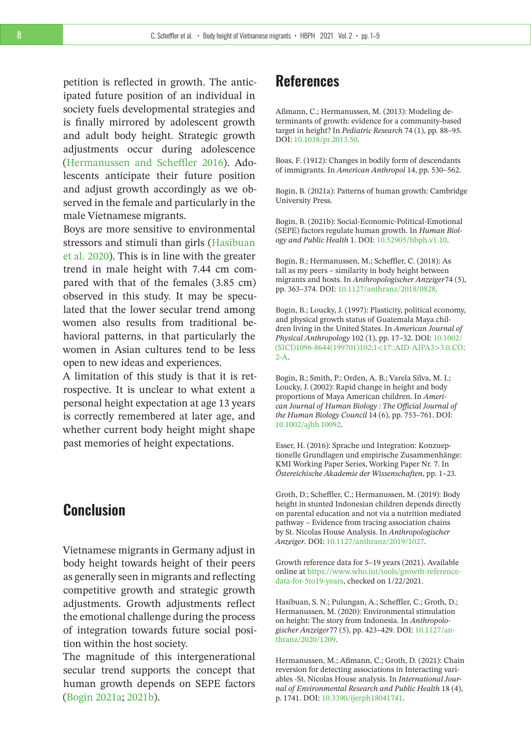petition is reflected in growth. The anticipated future position of an individual in society fuels developmental strategies and is finally mirrored by adolescent growth and adult body height. Strategic growth adjustments occur during adolescence [\(Hermanussen and Scheffler 2016\)](#page-8-6). Adolescents anticipate their future position and adjust growth accordingly as we observed in the female and particularly in the male Vietnamese migrants.

Boys are more sensitive to environmental stressors and stimuli than girls [\(Hasibuan](#page-7-11) [et al. 2020\)](#page-7-11). This is in line with the greater trend in male height with 7.44 cm compared with that of the females (3.85 cm) observed in this study. It may be speculated that the lower secular trend among women also results from traditional behavioral patterns, in that particularly the women in Asian cultures tend to be less open to new ideas and experiences.

A limitation of this study is that it is retrospective. It is unclear to what extent a personal height expectation at age 13 years is correctly remembered at later age, and whether current body height might shape past memories of height expectations.

## **Conclusion**

Vietnamese migrants in Germany adjust in body height towards height of their peers as generally seen in migrants and reflecting competitive growth and strategic growth adjustments. Growth adjustments reflect the emotional challenge during the process of integration towards future social position within the host society.

The magnitude of this intergenerational secular trend supports the concept that human growth depends on SEPE factors [\(Bogin 2021a;](#page-7-0) [2021b\)](#page-7-9).

## **References**

<span id="page-7-3"></span>Aßmann, C.; Hermanussen, M. (2013): Modeling determinants of growth: evidence for a community-based target in height? In *Pediatric Research* 74 (1), pp. 88–95. DOI: [10.1038/pr.2013.50.](https://doi.org/10.1038/pr.2013.50)

<span id="page-7-2"></span>Boas, F. (1912): Changes in bodily form of descendants of immigrants. In *American Anthropol* 14, pp. 530–562.

<span id="page-7-0"></span>Bogin, B. (2021a): Patterns of human growth: Cambridge University Press.

<span id="page-7-9"></span>Bogin, B. (2021b): Social-Economic-Political-Emotional (SEPE) factors regulate human growth. In *Human Biology and Public Health* 1. DOI: [10.52905/hbph.v1.10.](https://doi.org/10.52905/hbph.v1.10)

<span id="page-7-1"></span>Bogin, B.; Hermanussen, M.; Scheffler, C. (2018): As tall as my peers – similarity in body height between migrants and hosts. In *Anthropologischer Anzeiger*74 (5), pp. 363–374. DOI: [10.1127/anthranz/2018/0828.](https://doi.org/10.1127/anthranz/2018/0828)

<span id="page-7-4"></span>Bogin, B.; Loucky, J. (1997): Plasticity, political economy, and physical growth status of Guatemala Maya children living in the United States. In *American Journal of Physical Anthropology* 102 (1), pp. 17–32. DOI: [10.1002/](https://doi.org/10.1002/(SICI)1096-8644(199701)102:1<17::AID-AJPA3>3.0.CO;2-A) [\(SICI\)1096-8644\(199701\)102:1<17::AID-AJPA3>3.0.CO;](https://doi.org/10.1002/(SICI)1096-8644(199701)102:1<17::AID-AJPA3>3.0.CO;2-A) [2-A.](https://doi.org/10.1002/(SICI)1096-8644(199701)102:1<17::AID-AJPA3>3.0.CO;2-A)

<span id="page-7-5"></span>Bogin, B.; Smith, P.; Orden, A. B.; Varela Silva, M. I.; Loucky, J. (2002): Rapid change in height and body proportions of Maya American children. In *American Journal of Human Biology : The Official Journal of the Human Biology Council* 14 (6), pp. 753–761. DOI: [10.1002/ajhb.10092.](https://doi.org/10.1002/ajhb.10092)

<span id="page-7-10"></span>Esser, H. (2016): Sprache und Integration: Konzueptionelle Grundlagen und empirische Zusammenhänge: KMI Working Paper Series, Working Paper Nr. 7. In *Östereichische Akademie der Wissenschaften*, pp. 1–23.

<span id="page-7-7"></span>Groth, D.; Scheffler, C.; Hermanussen, M. (2019): Body height in stunted Indonesian children depends directly on parental education and not via a nutrition mediated pathway – Evidence from tracing association chains by St. Nicolas House Analysis. In *Anthropologischer Anzeiger*. DOI: [10.1127/anthranz/2019/1027.](https://doi.org/10.1127/anthranz/2019/1027)

<span id="page-7-6"></span>Growth reference data for 5–19 years (2021). Available online at [https://www.who.int/tools/growth-reference](https://www.who.int/tools/growth-reference-data-for-5to19-years)[data-for-5to19-years,](https://www.who.int/tools/growth-reference-data-for-5to19-years) checked on 1/22/2021.

<span id="page-7-11"></span>Hasibuan, S. N.; Pulungan, A.; Scheffler, C.; Groth, D.; Hermanussen, M. (2020): Environmental stimulation on height: The story from Indonesia. In *Anthropologischer Anzeiger*77 (5), pp. 423–429. DOI: [10.1127/an](https://doi.org/10.1127/anthranz/2020/1209)[thranz/2020/1209.](https://doi.org/10.1127/anthranz/2020/1209)

<span id="page-7-8"></span>Hermanussen, M.; Aßmann, C.; Groth, D. (2021): Chain reversion for detecting associations in Interacting variables -St. Nicolas House analysis. In *International Journal of Environmental Research and Public Health* 18 (4), p. 1741. DOI: [10.3390/ijerph18041741.](https://doi.org/10.3390/ijerph18041741)